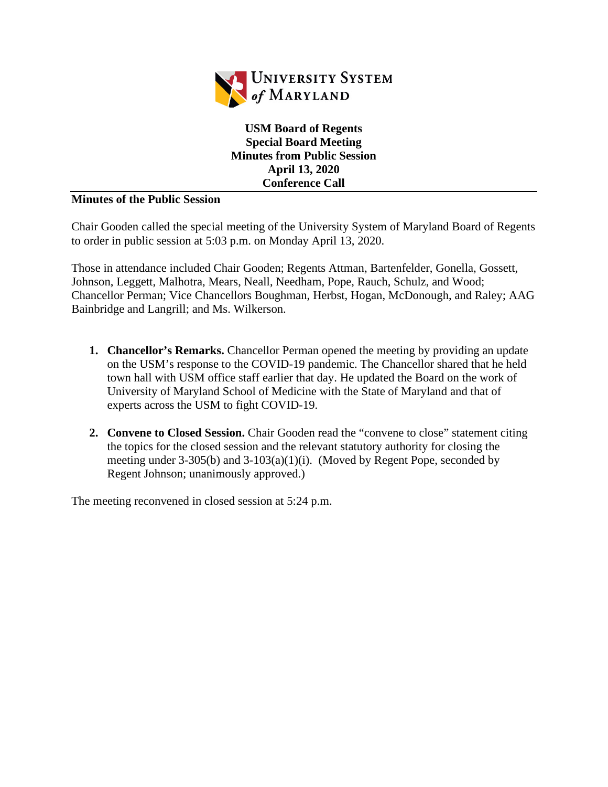

**USM Board of Regents Special Board Meeting Minutes from Public Session April 13, 2020 Conference Call**

## **Minutes of the Public Session**

Chair Gooden called the special meeting of the University System of Maryland Board of Regents to order in public session at 5:03 p.m. on Monday April 13, 2020.

Those in attendance included Chair Gooden; Regents Attman, Bartenfelder, Gonella, Gossett, Johnson, Leggett, Malhotra, Mears, Neall, Needham, Pope, Rauch, Schulz, and Wood; Chancellor Perman; Vice Chancellors Boughman, Herbst, Hogan, McDonough, and Raley; AAG Bainbridge and Langrill; and Ms. Wilkerson.

- **1. Chancellor's Remarks.** Chancellor Perman opened the meeting by providing an update on the USM's response to the COVID-19 pandemic. The Chancellor shared that he held town hall with USM office staff earlier that day. He updated the Board on the work of University of Maryland School of Medicine with the State of Maryland and that of experts across the USM to fight COVID-19.
- **2. Convene to Closed Session.** Chair Gooden read the "convene to close" statement citing the topics for the closed session and the relevant statutory authority for closing the meeting under  $3-305(b)$  and  $3-103(a)(1)(i)$ . (Moved by Regent Pope, seconded by Regent Johnson; unanimously approved.)

The meeting reconvened in closed session at 5:24 p.m.